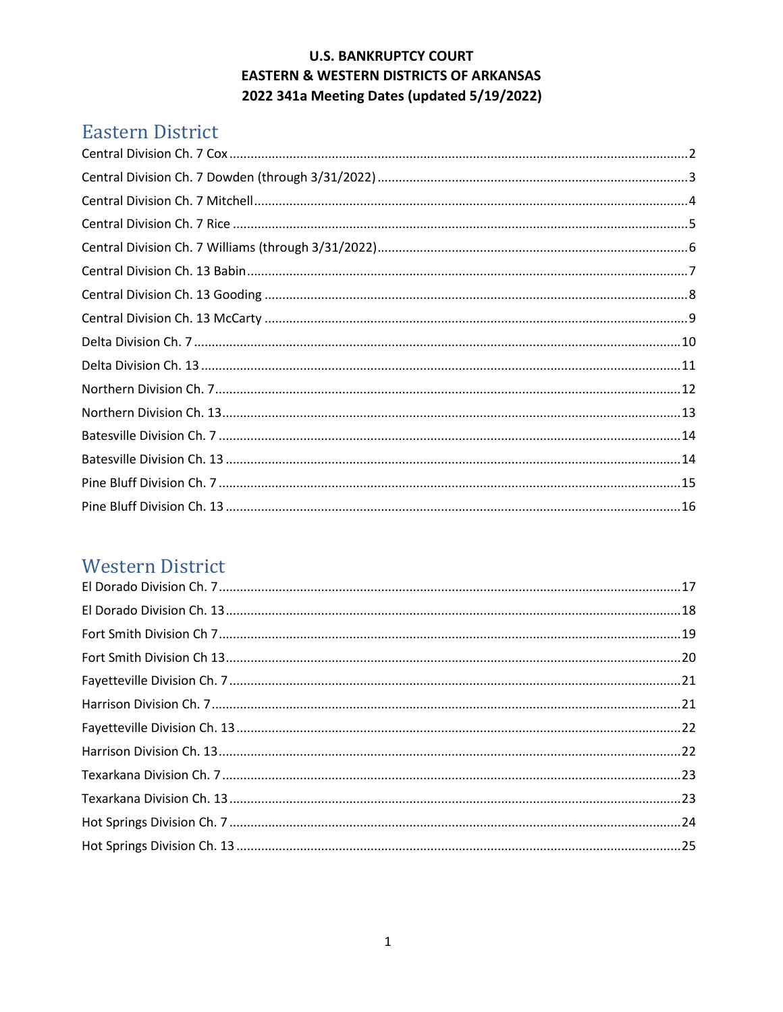# Eastern District

# **Western District**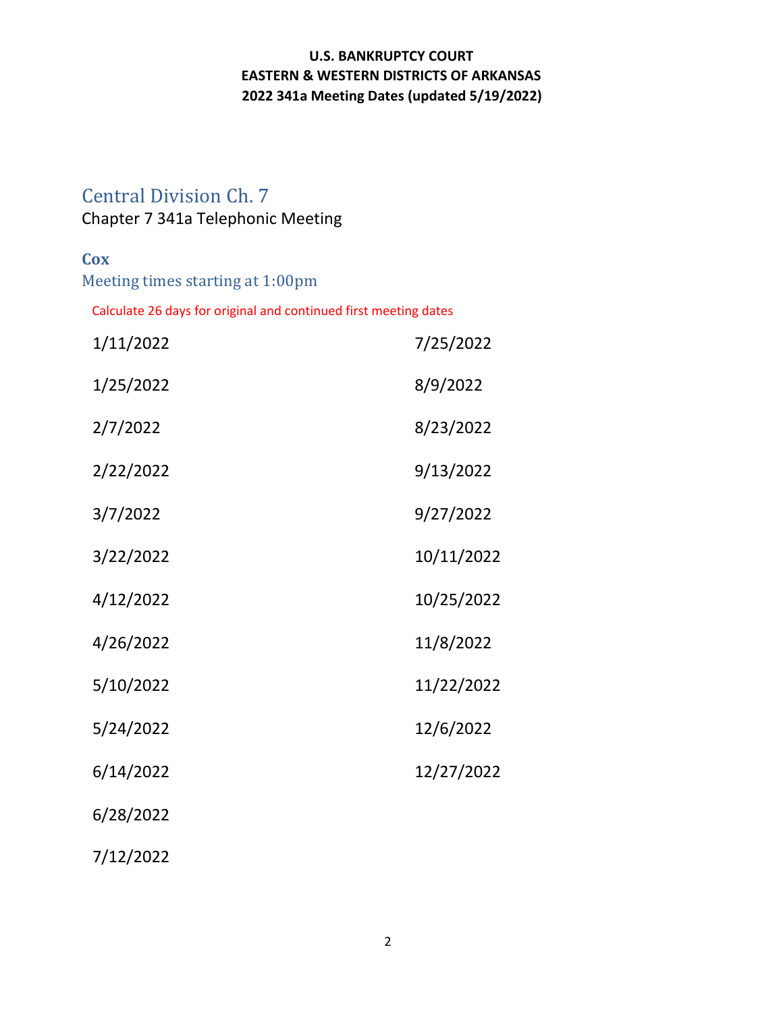## <span id="page-1-0"></span>Central Division Ch. 7

## Chapter 7 341a Telephonic Meeting

### **Cox**

Meeting times starting at 1:00pm

Calculate 26 days for original and continued first meeting dates

| 1/11/2022 | 7/25/2022  |
|-----------|------------|
| 1/25/2022 | 8/9/2022   |
| 2/7/2022  | 8/23/2022  |
| 2/22/2022 | 9/13/2022  |
| 3/7/2022  | 9/27/2022  |
| 3/22/2022 | 10/11/2022 |
| 4/12/2022 | 10/25/2022 |
| 4/26/2022 | 11/8/2022  |
| 5/10/2022 | 11/22/2022 |
| 5/24/2022 | 12/6/2022  |
| 6/14/2022 | 12/27/2022 |
| 6/28/2022 |            |
|           |            |

7/12/2022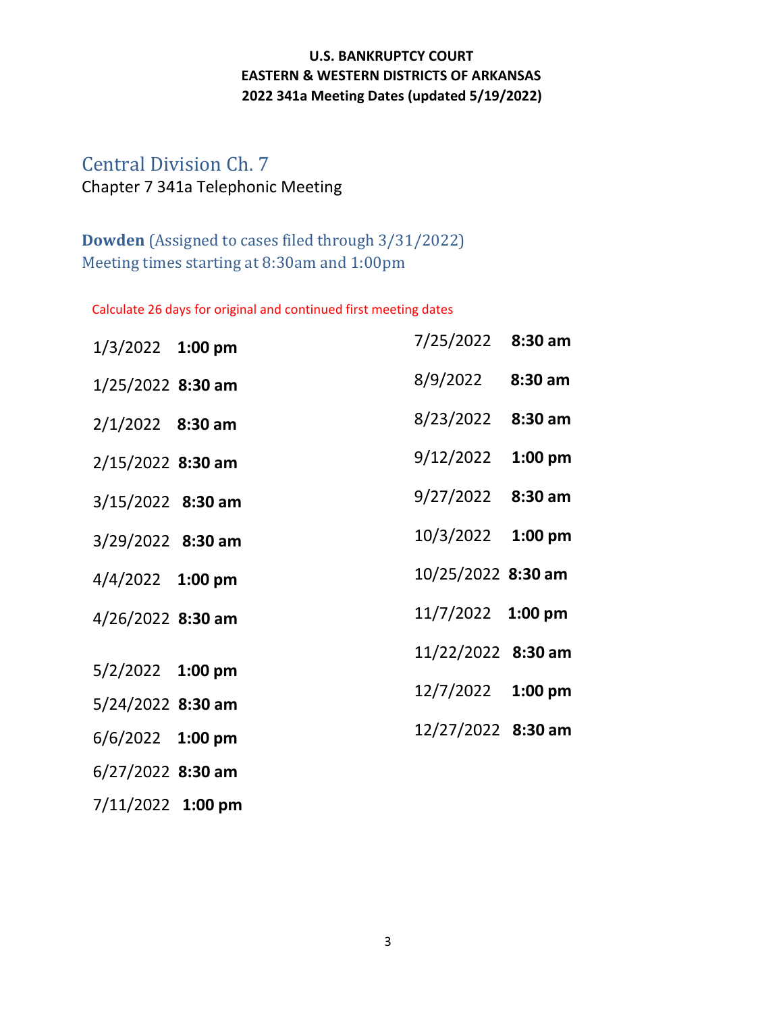# <span id="page-2-0"></span>Central Division Ch. 7 Chapter 7 341a Telephonic Meeting

## **Dowden** (Assigned to cases filed through 3/31/2022) Meeting times starting at 8:30am and 1:00pm

Calculate 26 days for original and continued first meeting dates

| 1/3/2022 1:00 pm    | 7/25/2022 8:30 am                                         |                    |
|---------------------|-----------------------------------------------------------|--------------------|
| 1/25/2022 8:30 am   | $8/9/2022$ 8:30 am                                        |                    |
| $2/1/2022$ 8:30 am  | 8/23/2022 8:30 am                                         |                    |
| $2/15/2022$ 8:30 am | 9/12/2022 1:00 pm                                         |                    |
| 3/15/2022 8:30 am   | $9/27/2022$ 8:30 am                                       |                    |
| 3/29/2022 8:30 am   | 10/3/2022 1:00 pm                                         |                    |
| 4/4/2022 1:00 pm    | 10/25/2022 8:30 am                                        |                    |
| 4/26/2022 8:30 am   | $11/7/2022$ 1:00 pm                                       |                    |
|                     | 11/22/2022 8:30 am                                        |                    |
|                     | 12/7/2022 1:00 pm                                         |                    |
|                     |                                                           |                    |
|                     |                                                           |                    |
| $6/27/2022$ 8:30 am |                                                           |                    |
|                     | 5/2/2022 1:00 pm<br>5/24/2022 8:30 am<br>6/6/2022 1:00 pm | 12/27/2022 8:30 am |

7/11/2022 **1:00 pm**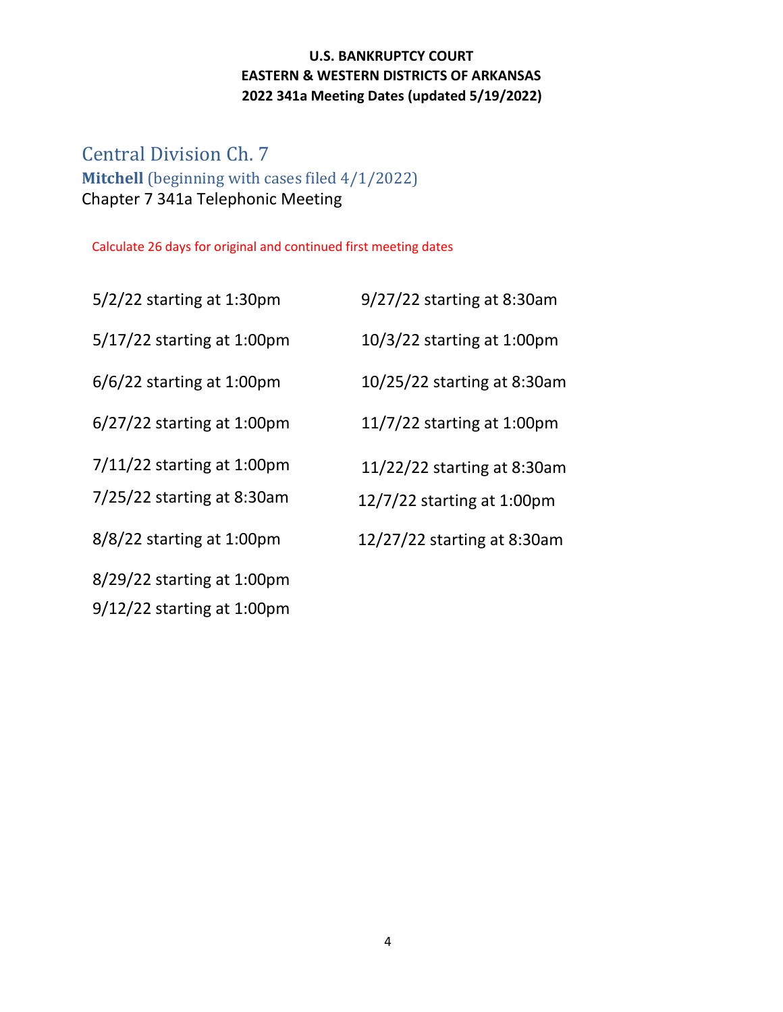## <span id="page-3-0"></span>Central Division Ch. 7 **Mitchell** (beginning with cases filed 4/1/2022) Chapter 7 341a Telephonic Meeting

Calculate 26 days for original and continued first meeting dates

5/2/22 starting at 1:30pm 9/27/22 starting at 8:30am

5/17/22 starting at 1:00pm 10/3/22 starting at 1:00pm

6/6/22 starting at 1:00pm 10/25/22 starting at 8:30am

 $6/27/22$  starting at 1:00pm

 $7/11/22$  starting at 1:00pm

8/29/22 starting at 1:00pm

9/12/22 starting at 1:00pm

| $11/7/22$ starting at 1:00pm  |
|-------------------------------|
| $11/22/22$ starting at 8:30am |

7/25/22 starting at 8:30am 12/7/22 starting at 1:00pm

8/8/22 starting at 1:00pm 12/27/22 starting at 8:30am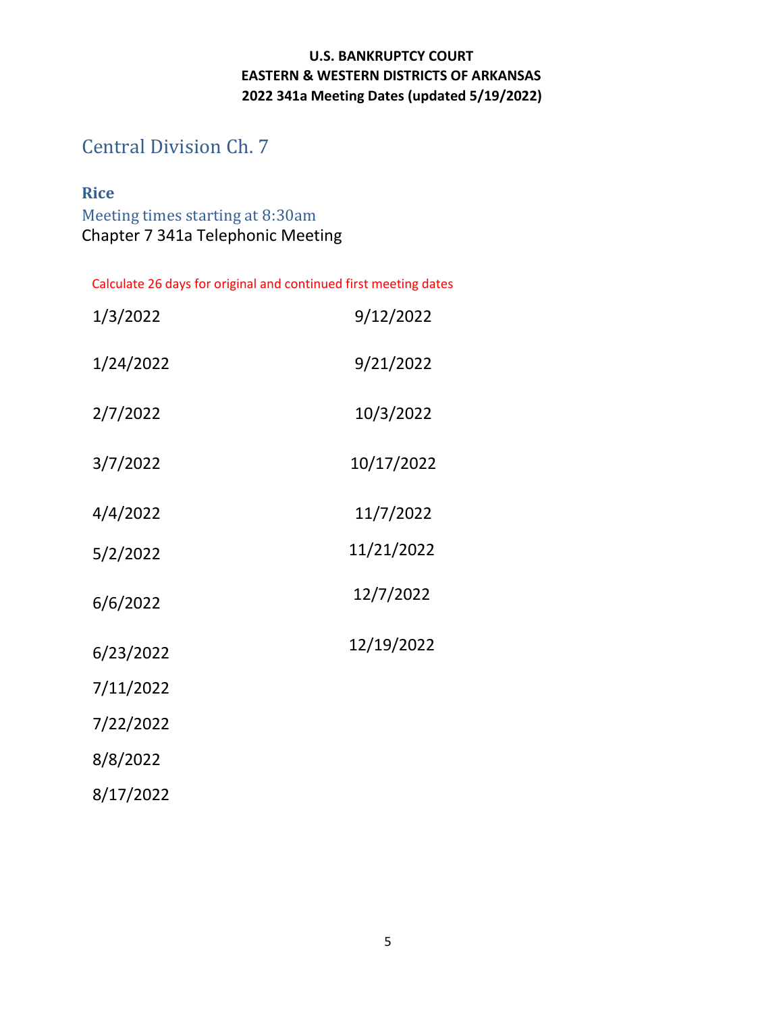<span id="page-4-0"></span>Central Division Ch. 7

## **Rice**

Meeting times starting at 8:30am Chapter 7 341a Telephonic Meeting

| 1/3/2022  | 9/12/2022  |
|-----------|------------|
| 1/24/2022 | 9/21/2022  |
| 2/7/2022  | 10/3/2022  |
| 3/7/2022  | 10/17/2022 |
| 4/4/2022  | 11/7/2022  |
| 5/2/2022  | 11/21/2022 |
| 6/6/2022  | 12/7/2022  |
| 6/23/2022 | 12/19/2022 |
| 7/11/2022 |            |
| 7/22/2022 |            |
| 8/8/2022  |            |
| 8/17/2022 |            |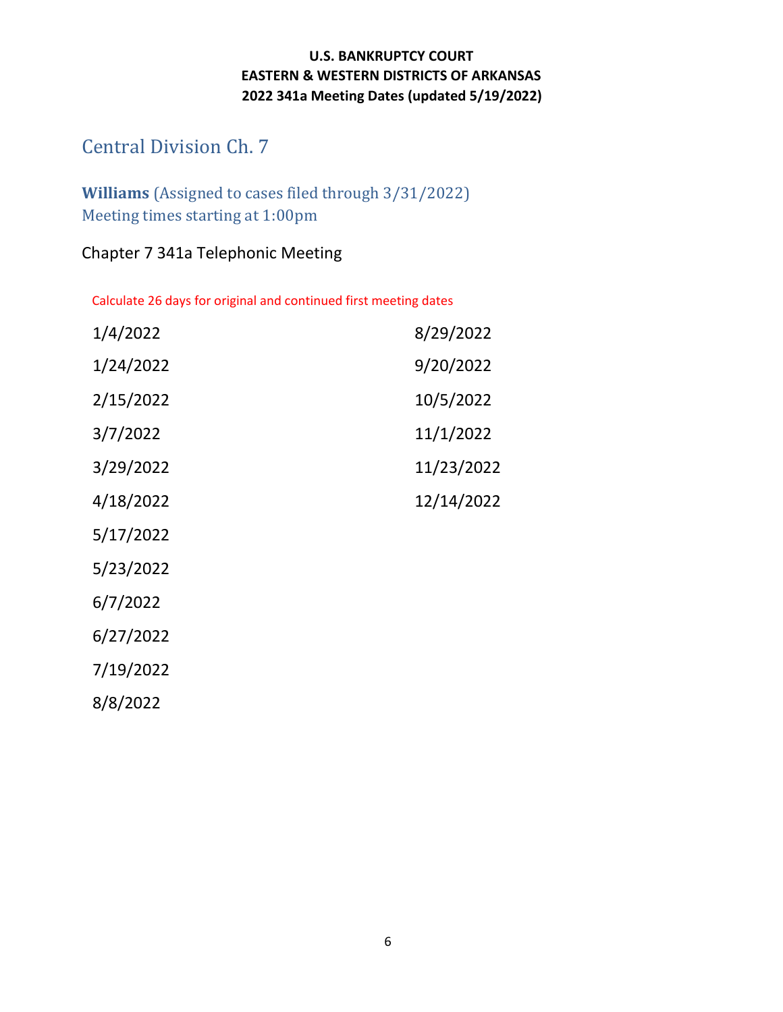# <span id="page-5-0"></span>Central Division Ch. 7

## **Williams** (Assigned to cases filed through 3/31/2022) Meeting times starting at 1:00pm

## Chapter 7 341a Telephonic Meeting

| 1/4/2022  | 8/29/2022  |
|-----------|------------|
| 1/24/2022 | 9/20/2022  |
| 2/15/2022 | 10/5/2022  |
| 3/7/2022  | 11/1/2022  |
| 3/29/2022 | 11/23/2022 |
| 4/18/2022 | 12/14/2022 |
| 5/17/2022 |            |
| 5/23/2022 |            |
| 6/7/2022  |            |
| 6/27/2022 |            |
| 7/19/2022 |            |
| 8/8/2022  |            |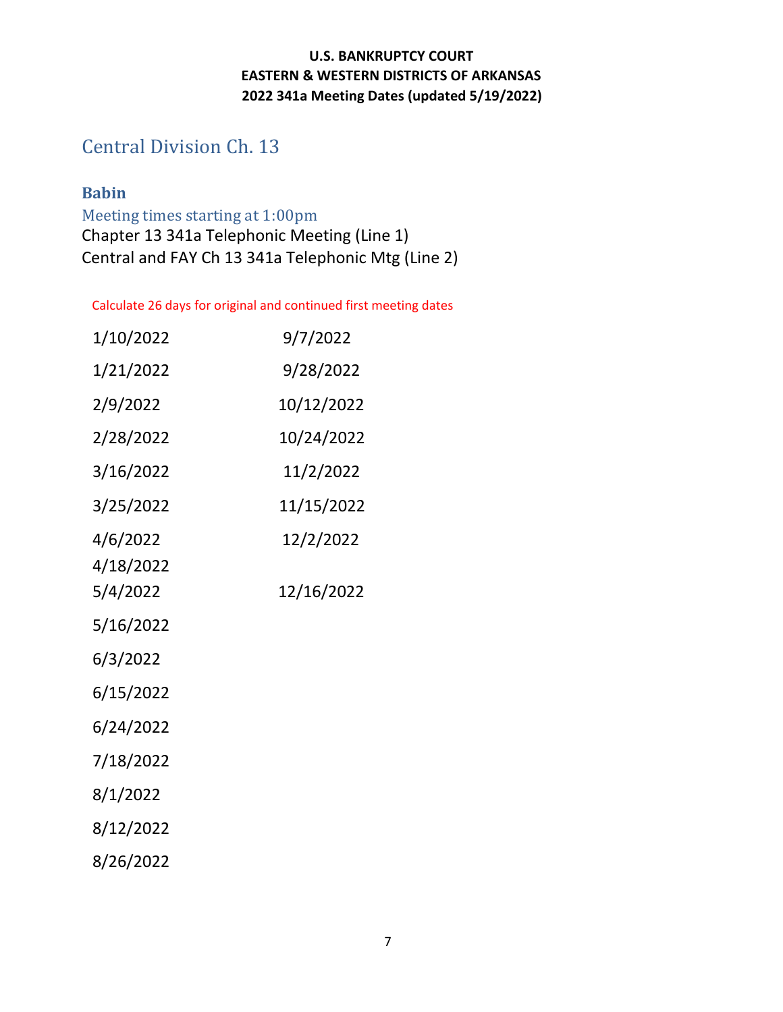# <span id="page-6-0"></span>Central Division Ch. 13

## **Babin**

Meeting times starting at 1:00pm Chapter 13 341a Telephonic Meeting (Line 1) Central and FAY Ch 13 341a Telephonic Mtg (Line 2)

| 1/10/2022                         | 9/7/2022                |
|-----------------------------------|-------------------------|
| 1/21/2022                         | 9/28/2022               |
| 2/9/2022                          | 10/12/2022              |
| 2/28/2022                         | 10/24/2022              |
| 3/16/2022                         | 11/2/2022               |
| 3/25/2022                         | 11/15/2022              |
| 4/6/2022<br>4/18/2022<br>5/4/2022 | 12/2/2022<br>12/16/2022 |
| 5/16/2022                         |                         |
| 6/3/2022                          |                         |
| 6/15/2022                         |                         |
| 6/24/2022                         |                         |
| 7/18/2022                         |                         |
| 8/1/2022                          |                         |
| 8/12/2022                         |                         |
| 8/26/2022                         |                         |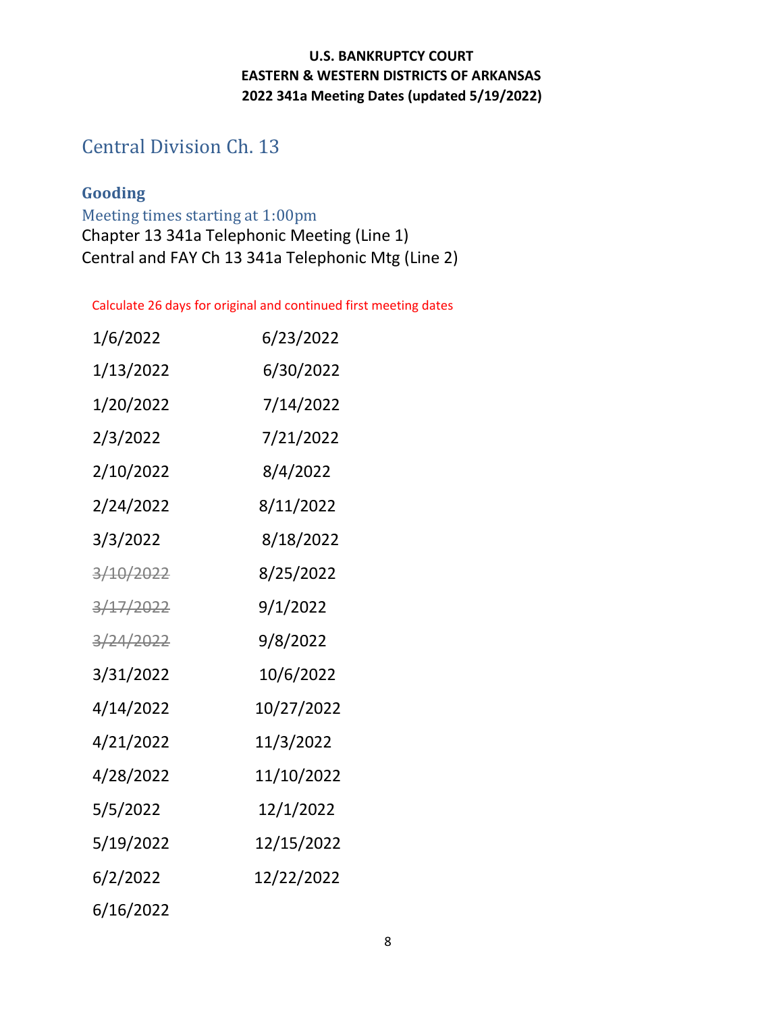# <span id="page-7-0"></span>Central Division Ch. 13

## **Gooding**

Meeting times starting at 1:00pm Chapter 13 341a Telephonic Meeting (Line 1) Central and FAY Ch 13 341a Telephonic Mtg (Line 2)

| 1/6/2022         | 6/23/2022  |
|------------------|------------|
| 1/13/2022        | 6/30/2022  |
| 1/20/2022        | 7/14/2022  |
| 2/3/2022         | 7/21/2022  |
| 2/10/2022        | 8/4/2022   |
| 2/24/2022        | 8/11/2022  |
| 3/3/2022         | 8/18/2022  |
| <u>3/10/2022</u> | 8/25/2022  |
| 3/17/2022        | 9/1/2022   |
| 3/24/2022        | 9/8/2022   |
| 3/31/2022        | 10/6/2022  |
| 4/14/2022        | 10/27/2022 |
| 4/21/2022        | 11/3/2022  |
| 4/28/2022        | 11/10/2022 |
| 5/5/2022         | 12/1/2022  |
| 5/19/2022        | 12/15/2022 |
| 6/2/2022         | 12/22/2022 |
| 6/16/2022        |            |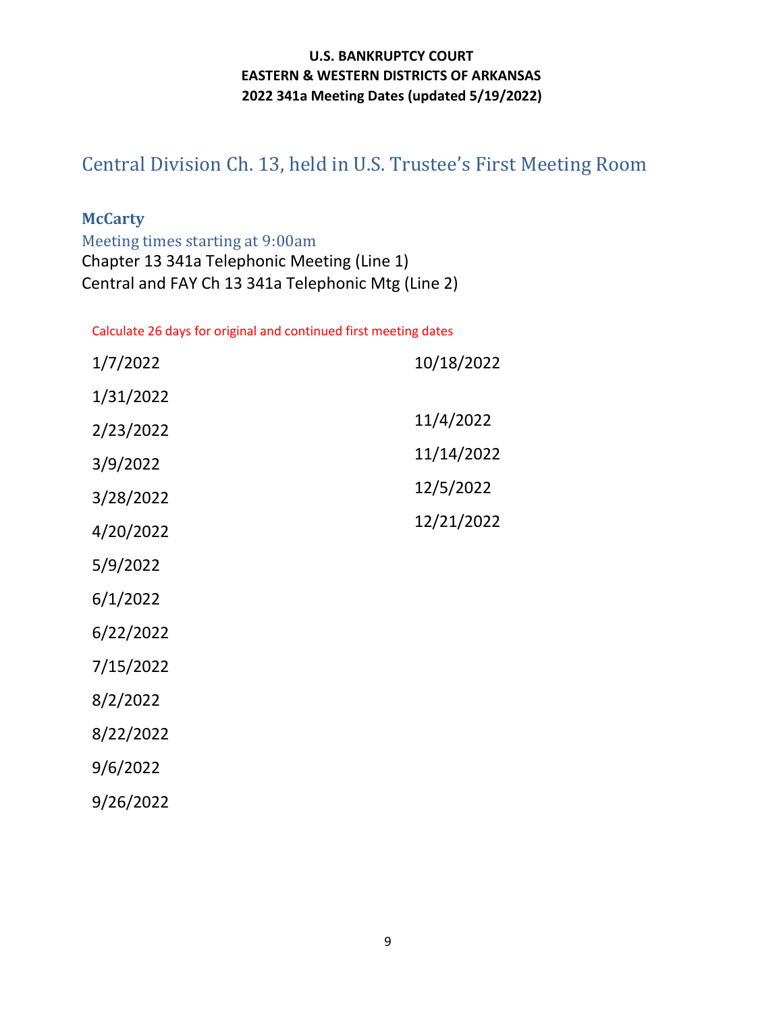# <span id="page-8-0"></span>Central Division Ch. 13, held in U.S. Trustee's First Meeting Room

### **McCarty**

Meeting times starting at 9:00am Chapter 13 341a Telephonic Meeting (Line 1) Central and FAY Ch 13 341a Telephonic Mtg (Line 2)

| 1/7/2022  | 10/18/2022 |
|-----------|------------|
| 1/31/2022 |            |
| 2/23/2022 | 11/4/2022  |
| 3/9/2022  | 11/14/2022 |
| 3/28/2022 | 12/5/2022  |
| 4/20/2022 | 12/21/2022 |
| 5/9/2022  |            |
| 6/1/2022  |            |
| 6/22/2022 |            |
| 7/15/2022 |            |
| 8/2/2022  |            |
| 8/22/2022 |            |
| 9/6/2022  |            |
| 9/26/2022 |            |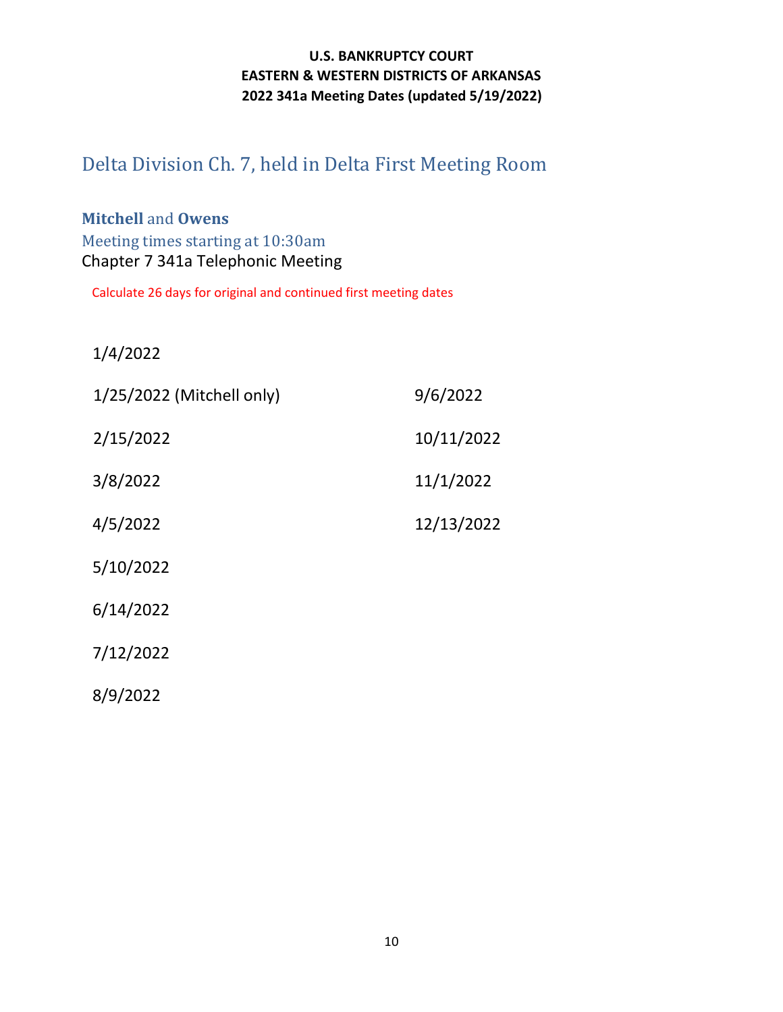# <span id="page-9-0"></span>Delta Division Ch. 7, held in Delta First Meeting Room

## **Mitchell** and **Owens** Meeting times starting at 10:30am Chapter 7 341a Telephonic Meeting

Calculate 26 days for original and continued first meeting dates

1/4/2022

| 1/25/2022 (Mitchell only) | 9/6/2022   |
|---------------------------|------------|
| 2/15/2022                 | 10/11/2022 |
| 3/8/2022                  | 11/1/2022  |
| 4/5/2022                  | 12/13/2022 |
| 5/10/2022                 |            |
| 6/14/2022                 |            |
| 7/12/2022                 |            |
| 8/9/2022                  |            |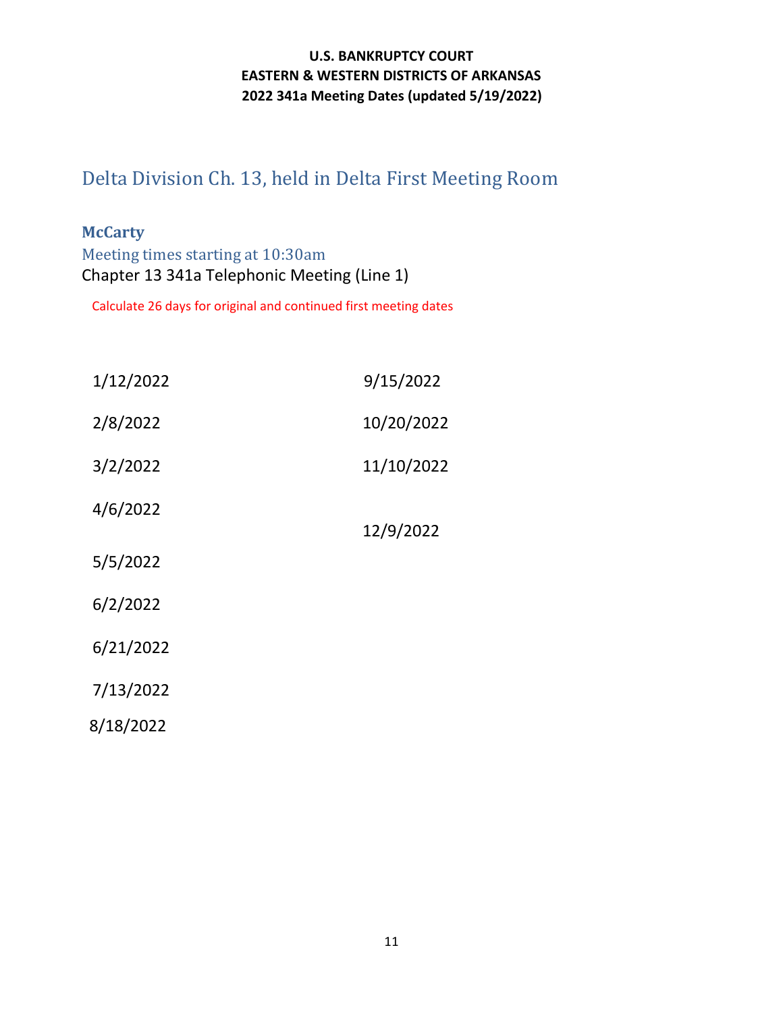# <span id="page-10-0"></span>Delta Division Ch. 13, held in Delta First Meeting Room

### **McCarty**

Meeting times starting at 10:30am Chapter 13 341a Telephonic Meeting (Line 1)

| 1/12/2022 | 9/15/2022  |
|-----------|------------|
| 2/8/2022  | 10/20/2022 |
| 3/2/2022  | 11/10/2022 |
| 4/6/2022  | 12/9/2022  |
| 5/5/2022  |            |
| 6/2/2022  |            |
| 6/21/2022 |            |
| 7/13/2022 |            |
| 8/18/2022 |            |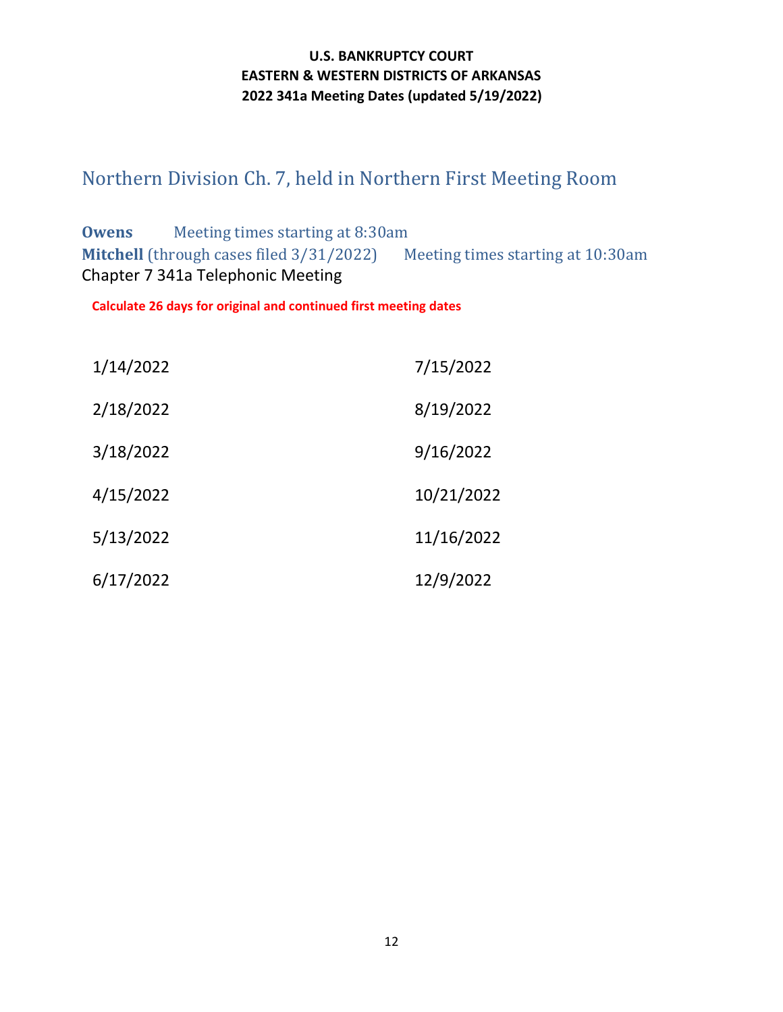# <span id="page-11-0"></span>Northern Division Ch. 7, held in Northern First Meeting Room

**Owens** Meeting times starting at 8:30am **Mitchell** (through cases filed 3/31/2022) Meeting times starting at 10:30am Chapter 7 341a Telephonic Meeting

| 1/14/2022 | 7/15/2022  |
|-----------|------------|
| 2/18/2022 | 8/19/2022  |
| 3/18/2022 | 9/16/2022  |
| 4/15/2022 | 10/21/2022 |
| 5/13/2022 | 11/16/2022 |
| 6/17/2022 | 12/9/2022  |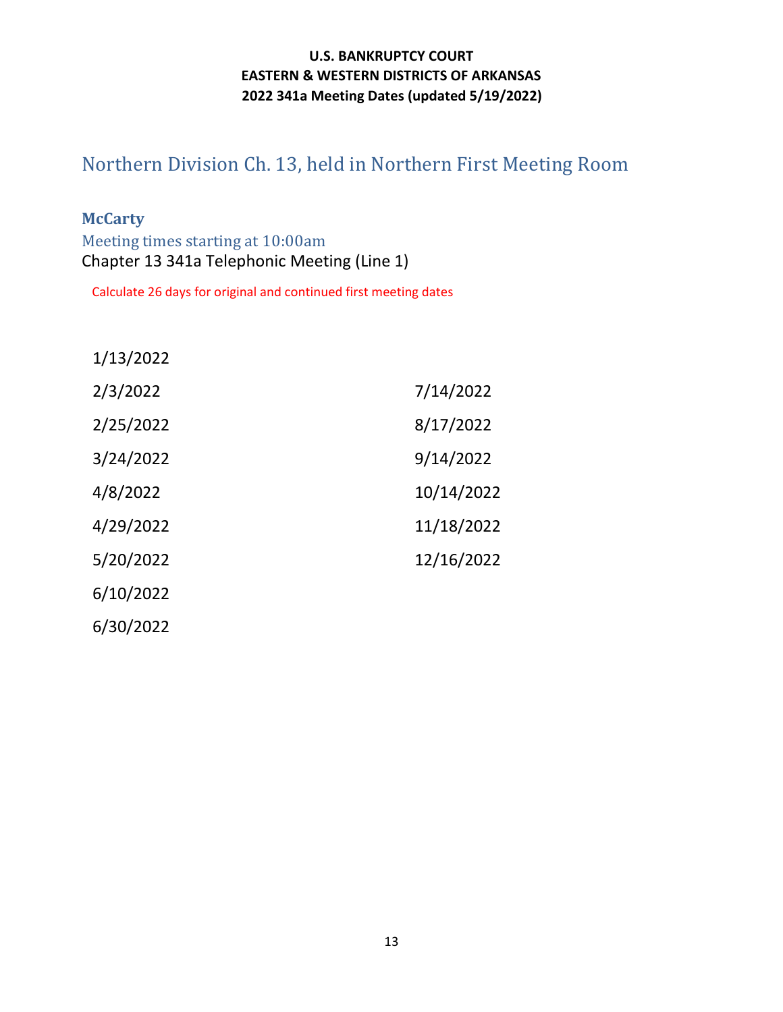# <span id="page-12-0"></span>Northern Division Ch. 13, held in Northern First Meeting Room

### **McCarty**

Meeting times starting at 10:00am Chapter 13 341a Telephonic Meeting (Line 1)

| 1/13/2022 |            |
|-----------|------------|
| 2/3/2022  | 7/14/2022  |
| 2/25/2022 | 8/17/2022  |
| 3/24/2022 | 9/14/2022  |
| 4/8/2022  | 10/14/2022 |
| 4/29/2022 | 11/18/2022 |
| 5/20/2022 | 12/16/2022 |
| 6/10/2022 |            |
| 6/30/2022 |            |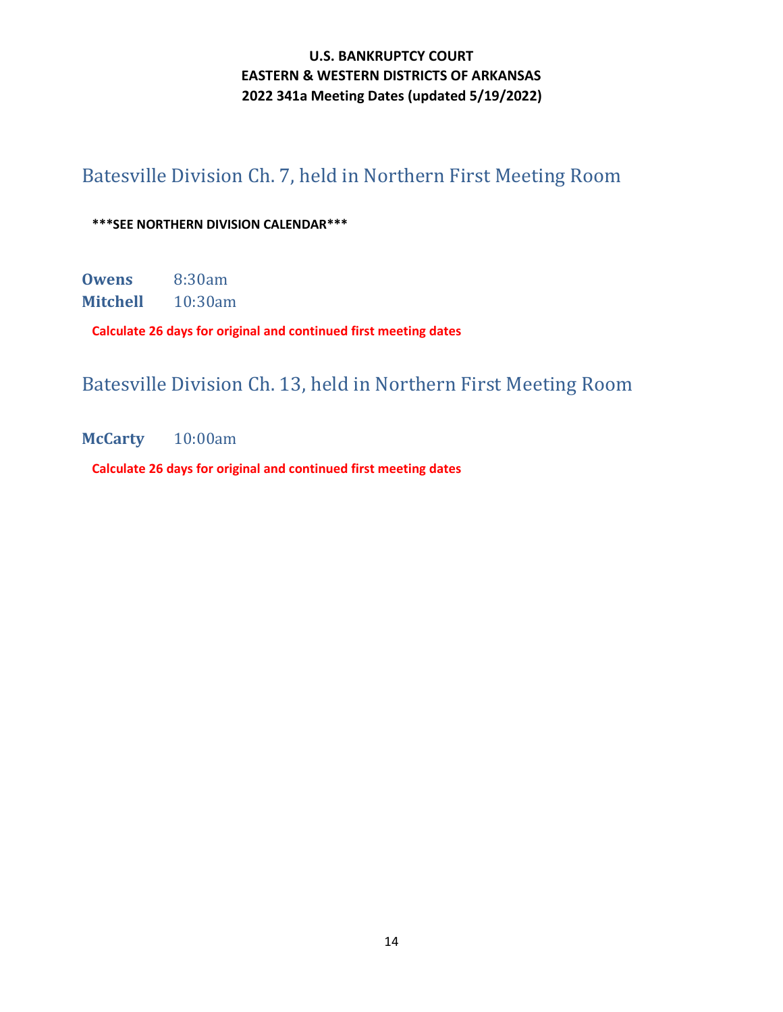# <span id="page-13-0"></span>Batesville Division Ch. 7, held in Northern First Meeting Room

#### **\*\*\*SEE NORTHERN DIVISION CALENDAR\*\*\***

**Owens** 8:30am **Mitchell** 10:30am

**Calculate 26 days for original and continued first meeting dates**

# <span id="page-13-1"></span>Batesville Division Ch. 13, held in Northern First Meeting Room

**McCarty** 10:00am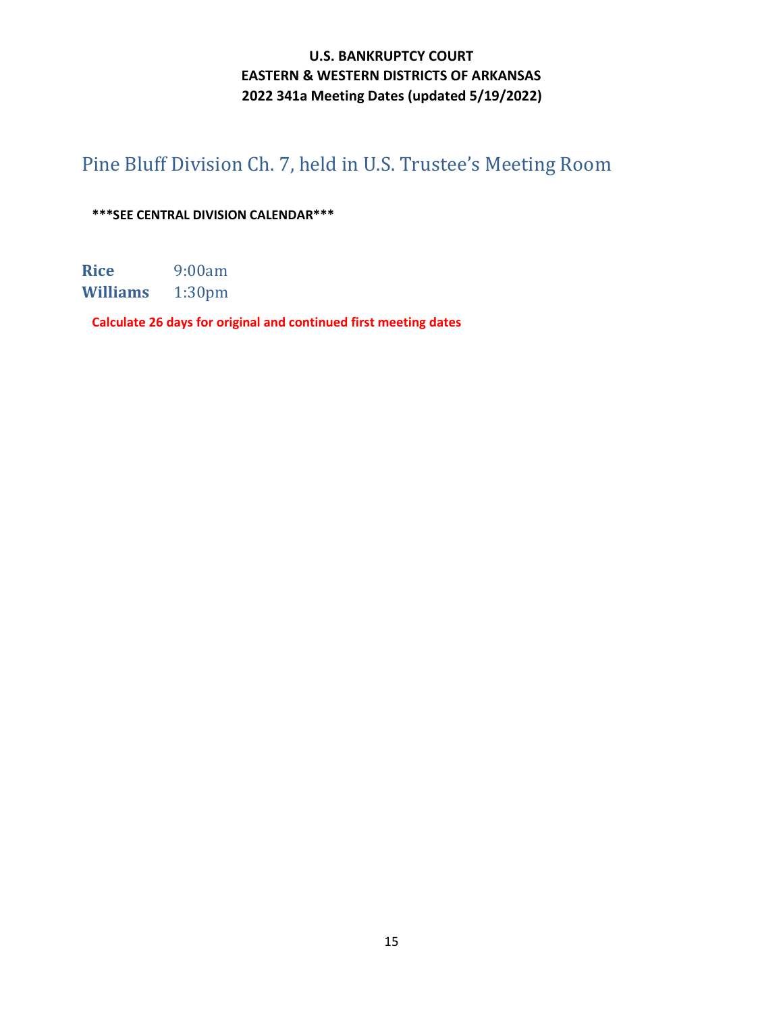# <span id="page-14-0"></span>Pine Bluff Division Ch. 7, held in U.S. Trustee's Meeting Room

**\*\*\*SEE CENTRAL DIVISION CALENDAR\*\*\***

**Rice** 9:00am<br>**Williams** 1:30pm  $$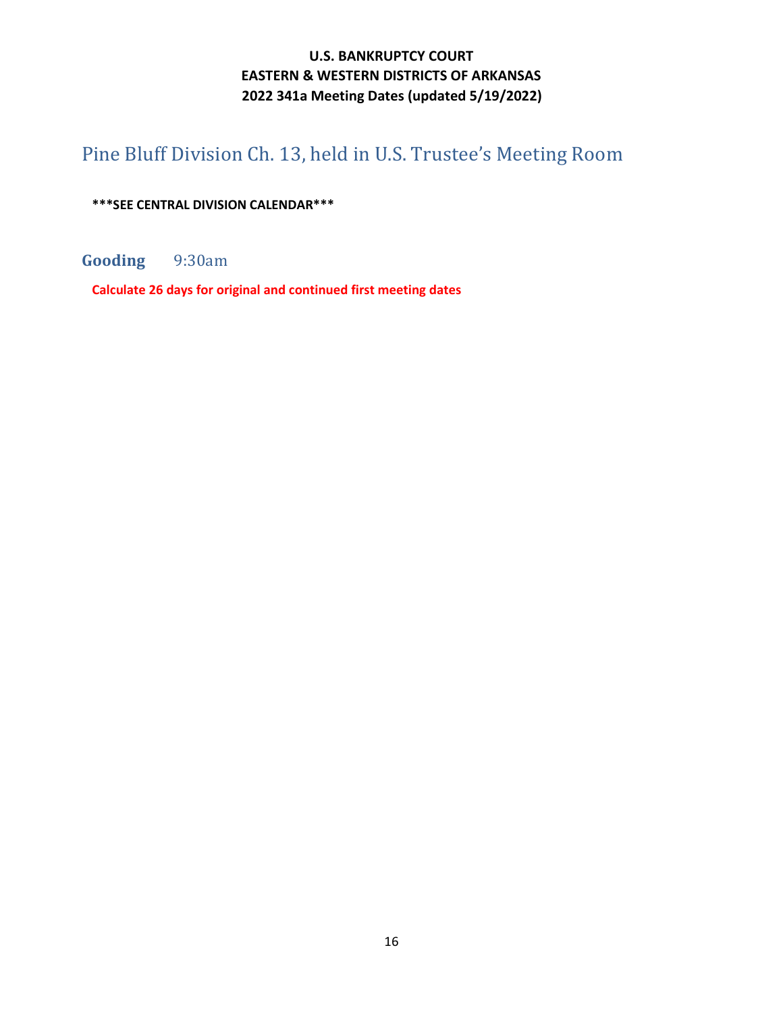# <span id="page-15-0"></span>Pine Bluff Division Ch. 13, held in U.S. Trustee's Meeting Room

**\*\*\*SEE CENTRAL DIVISION CALENDAR\*\*\***

**Gooding** 9:30am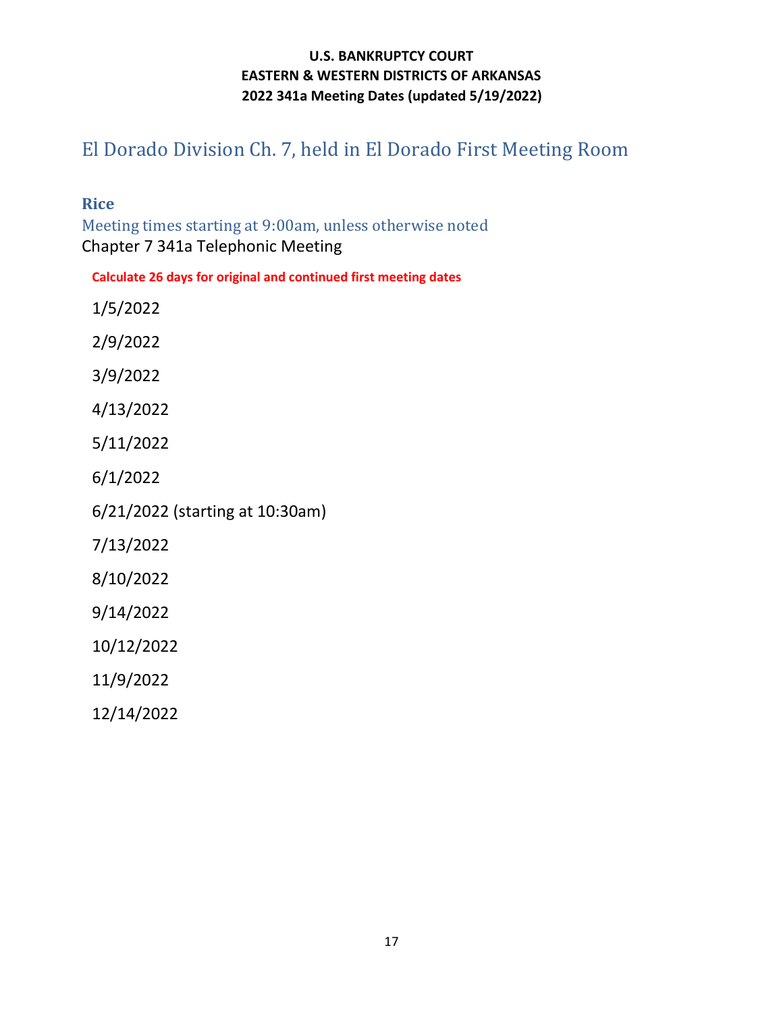# <span id="page-16-0"></span>El Dorado Division Ch. 7, held in El Dorado First Meeting Room

**Rice**

Meeting times starting at 9:00am, unless otherwise noted Chapter 7 341a Telephonic Meeting

**Calculate 26 days for original and continued first meeting dates**

1/5/2022

2/9/2022

3/9/2022

4/13/2022

5/11/2022

6/1/2022

6/21/2022 (starting at 10:30am)

7/13/2022

8/10/2022

9/14/2022

10/12/2022

11/9/2022

12/14/2022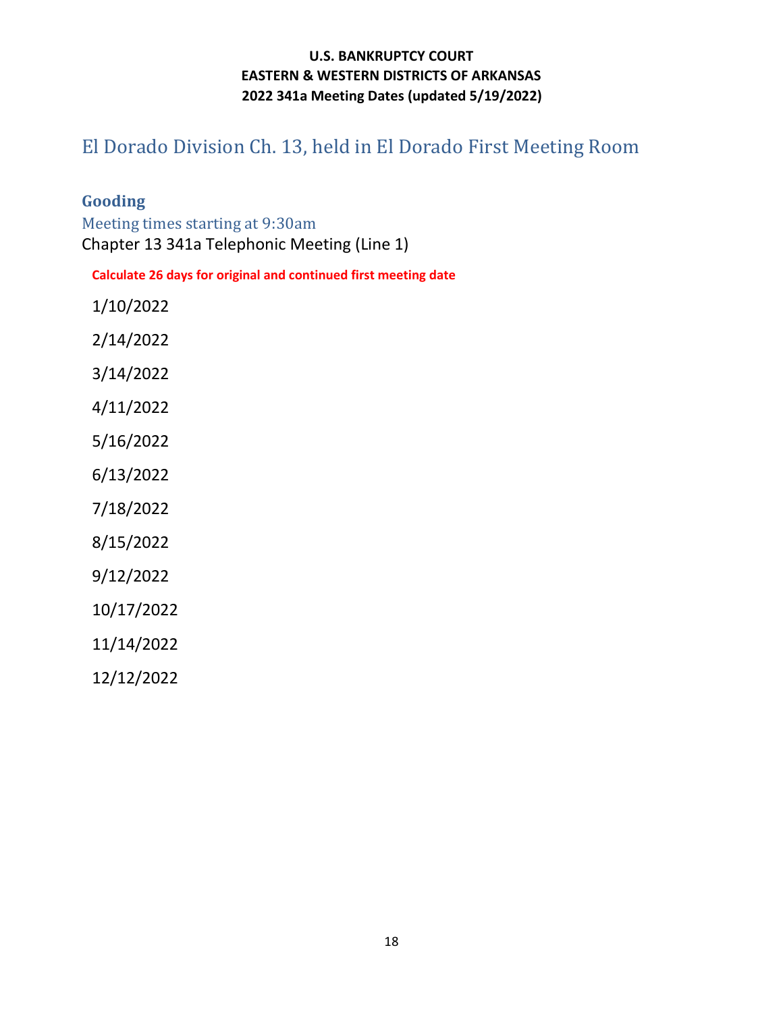# <span id="page-17-0"></span>El Dorado Division Ch. 13, held in El Dorado First Meeting Room

### **Gooding**

Meeting times starting at 9:30am Chapter 13 341a Telephonic Meeting (Line 1)

**Calculate 26 days for original and continued first meeting date**

1/10/2022

2/14/2022

3/14/2022

4/11/2022

5/16/2022

6/13/2022

7/18/2022

8/15/2022

9/12/2022

10/17/2022

11/14/2022

12/12/2022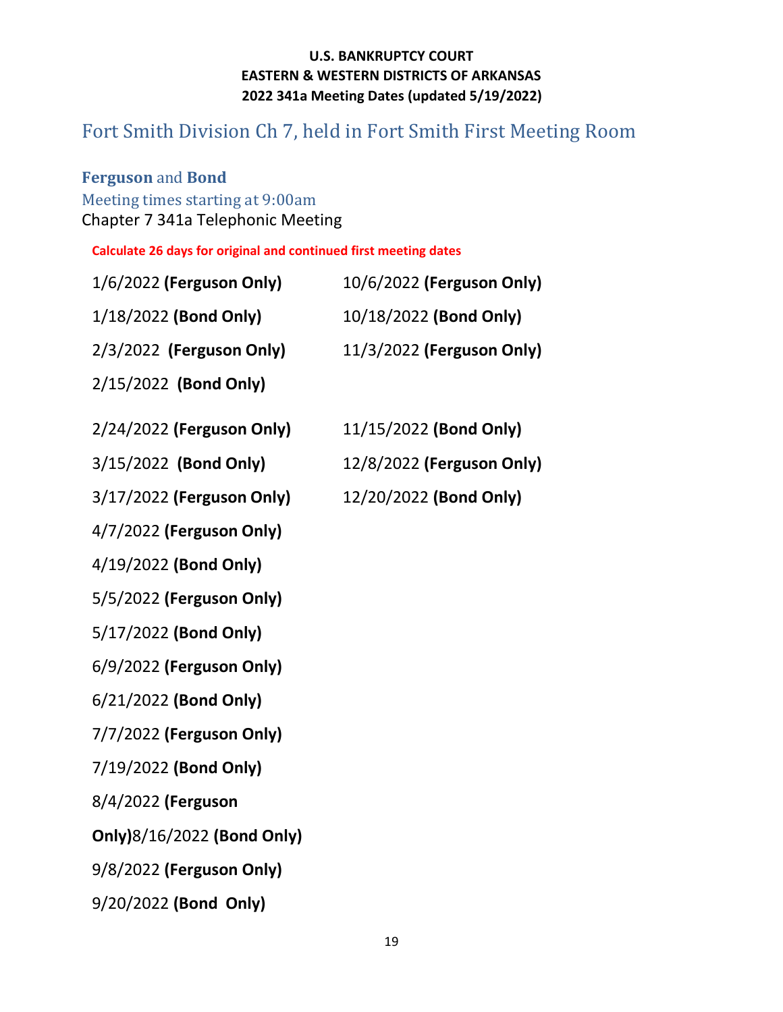# <span id="page-18-0"></span>Fort Smith Division Ch 7, held in Fort Smith First Meeting Room

# **Ferguson** and **Bond**

## Meeting times starting at 9:00am Chapter 7 341a Telephonic Meeting

| 1/6/2022 (Ferguson Only)   | 10/6/2022 (Ferguson Only) |
|----------------------------|---------------------------|
| 1/18/2022 (Bond Only)      | 10/18/2022 (Bond Only)    |
| 2/3/2022 (Ferguson Only)   | 11/3/2022 (Ferguson Only) |
| 2/15/2022 (Bond Only)      |                           |
| 2/24/2022 (Ferguson Only)  | 11/15/2022 (Bond Only)    |
| 3/15/2022 (Bond Only)      | 12/8/2022 (Ferguson Only) |
| 3/17/2022 (Ferguson Only)  | 12/20/2022 (Bond Only)    |
| 4/7/2022 (Ferguson Only)   |                           |
| 4/19/2022 (Bond Only)      |                           |
| 5/5/2022 (Ferguson Only)   |                           |
| 5/17/2022 (Bond Only)      |                           |
| 6/9/2022 (Ferguson Only)   |                           |
| 6/21/2022 (Bond Only)      |                           |
| 7/7/2022 (Ferguson Only)   |                           |
| 7/19/2022 (Bond Only)      |                           |
| 8/4/2022 (Ferguson         |                           |
| Only)8/16/2022 (Bond Only) |                           |
| 9/8/2022 (Ferguson Only)   |                           |
| 9/20/2022 (Bond Only)      |                           |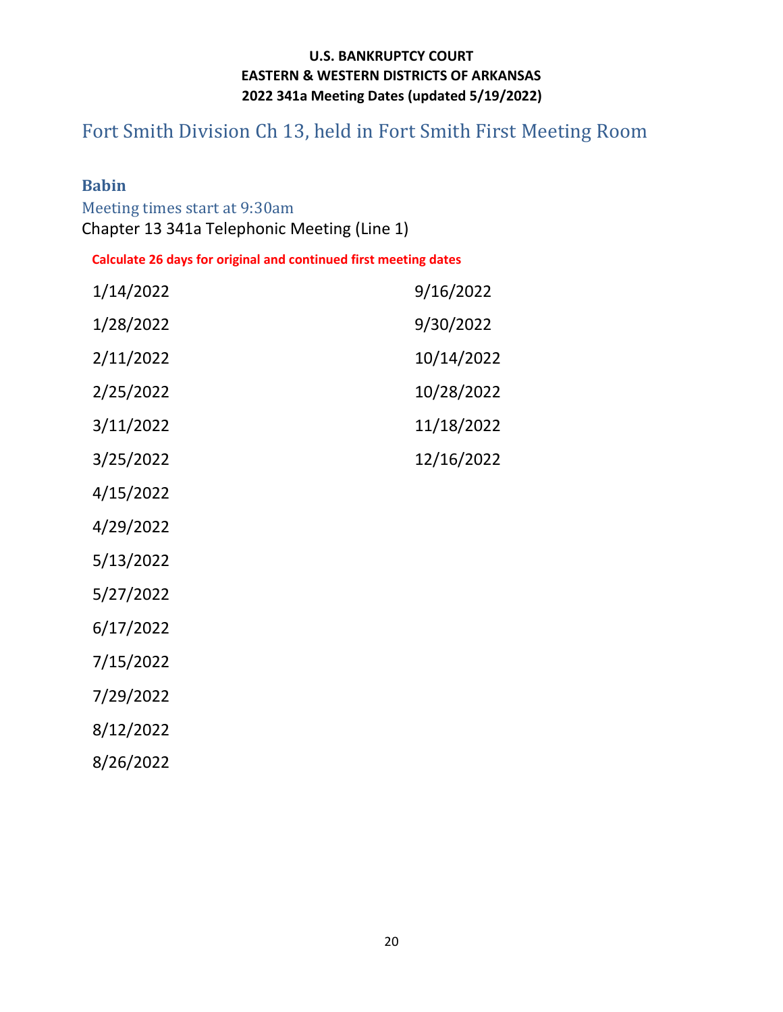# <span id="page-19-0"></span>Fort Smith Division Ch 13, held in Fort Smith First Meeting Room

## **Babin**

Meeting times start at 9:30am Chapter 13 341a Telephonic Meeting (Line 1)

| 1/14/2022 | 9/16/2022  |
|-----------|------------|
| 1/28/2022 | 9/30/2022  |
| 2/11/2022 | 10/14/2022 |
| 2/25/2022 | 10/28/2022 |
| 3/11/2022 | 11/18/2022 |
| 3/25/2022 | 12/16/2022 |
| 4/15/2022 |            |
| 4/29/2022 |            |
| 5/13/2022 |            |
| 5/27/2022 |            |
| 6/17/2022 |            |
| 7/15/2022 |            |
| 7/29/2022 |            |
| 8/12/2022 |            |
| 8/26/2022 |            |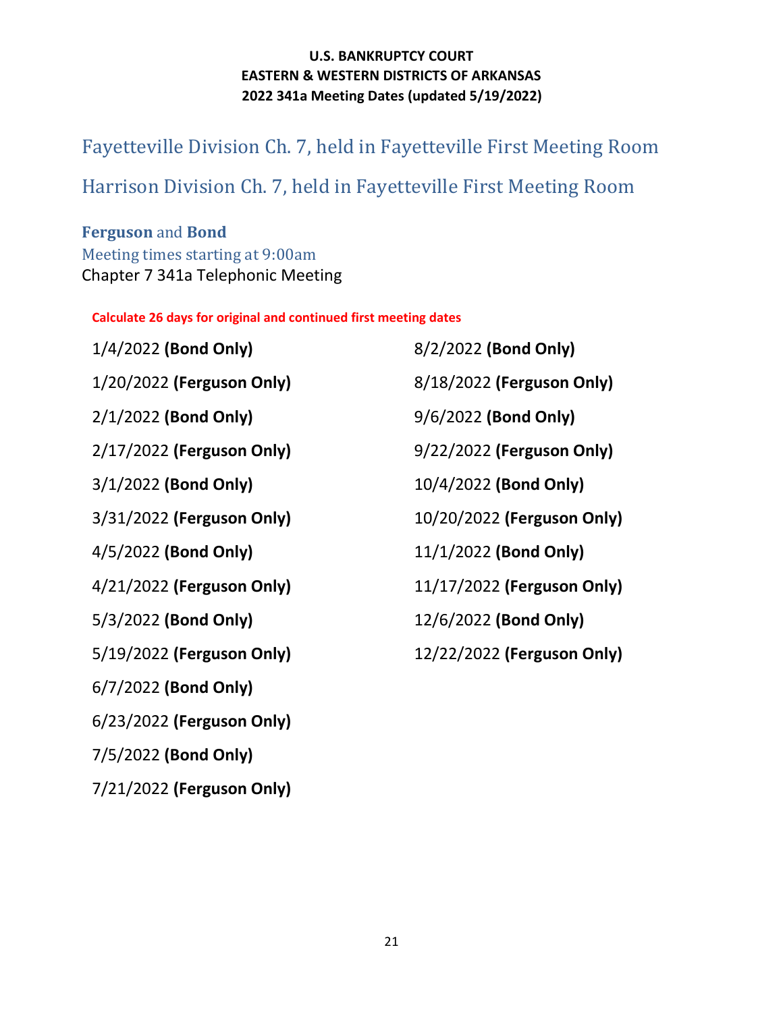# <span id="page-20-0"></span>Fayetteville Division Ch. 7, held in Fayetteville First Meeting Room

# <span id="page-20-1"></span>Harrison Division Ch. 7, held in Fayetteville First Meeting Room

## **Ferguson** and **Bond** Meeting times starting at 9:00am Chapter 7 341a Telephonic Meeting

**Calculate 26 days for original and continued first meeting dates**

| 1/4/2022 (Bond Only)      | 8/2/2022 (Bond Only)       |
|---------------------------|----------------------------|
| 1/20/2022 (Ferguson Only) | 8/18/2022 (Ferguson Only)  |
| 2/1/2022 (Bond Only)      | 9/6/2022 (Bond Only)       |
| 2/17/2022 (Ferguson Only) | 9/22/2022 (Ferguson Only)  |
| $3/1/2022$ (Bond Only)    | 10/4/2022 (Bond Only)      |
| 3/31/2022 (Ferguson Only) | 10/20/2022 (Ferguson Only) |
| 4/5/2022 (Bond Only)      | 11/1/2022 (Bond Only)      |
| 4/21/2022 (Ferguson Only) | 11/17/2022 (Ferguson Only) |
| 5/3/2022 (Bond Only)      | 12/6/2022 (Bond Only)      |
| 5/19/2022 (Ferguson Only) | 12/22/2022 (Ferguson Only) |
| 6/7/2022 (Bond Only)      |                            |
| 6/23/2022 (Ferguson Only) |                            |
|                           |                            |

7/5/2022 **(Bond Only)** 

7/21/2022 **(Ferguson Only)**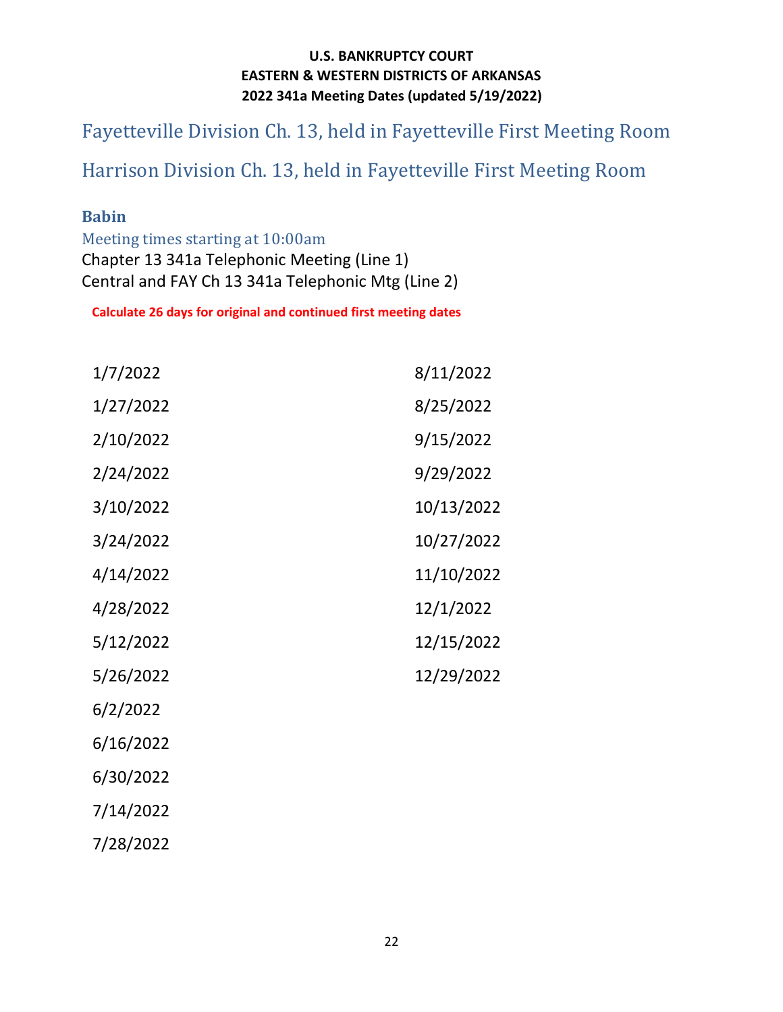<span id="page-21-0"></span>Fayetteville Division Ch. 13, held in Fayetteville First Meeting Room

# <span id="page-21-1"></span>Harrison Division Ch. 13, held in Fayetteville First Meeting Room

### **Babin**

Meeting times starting at 10:00am Chapter 13 341a Telephonic Meeting (Line 1) Central and FAY Ch 13 341a Telephonic Mtg (Line 2)

| 1/7/2022  | 8/11/2022  |
|-----------|------------|
| 1/27/2022 | 8/25/2022  |
| 2/10/2022 | 9/15/2022  |
| 2/24/2022 | 9/29/2022  |
| 3/10/2022 | 10/13/2022 |
| 3/24/2022 | 10/27/2022 |
| 4/14/2022 | 11/10/2022 |
| 4/28/2022 | 12/1/2022  |
| 5/12/2022 | 12/15/2022 |
| 5/26/2022 | 12/29/2022 |
| 6/2/2022  |            |
| 6/16/2022 |            |
| 6/30/2022 |            |
| 7/14/2022 |            |
| 7/28/2022 |            |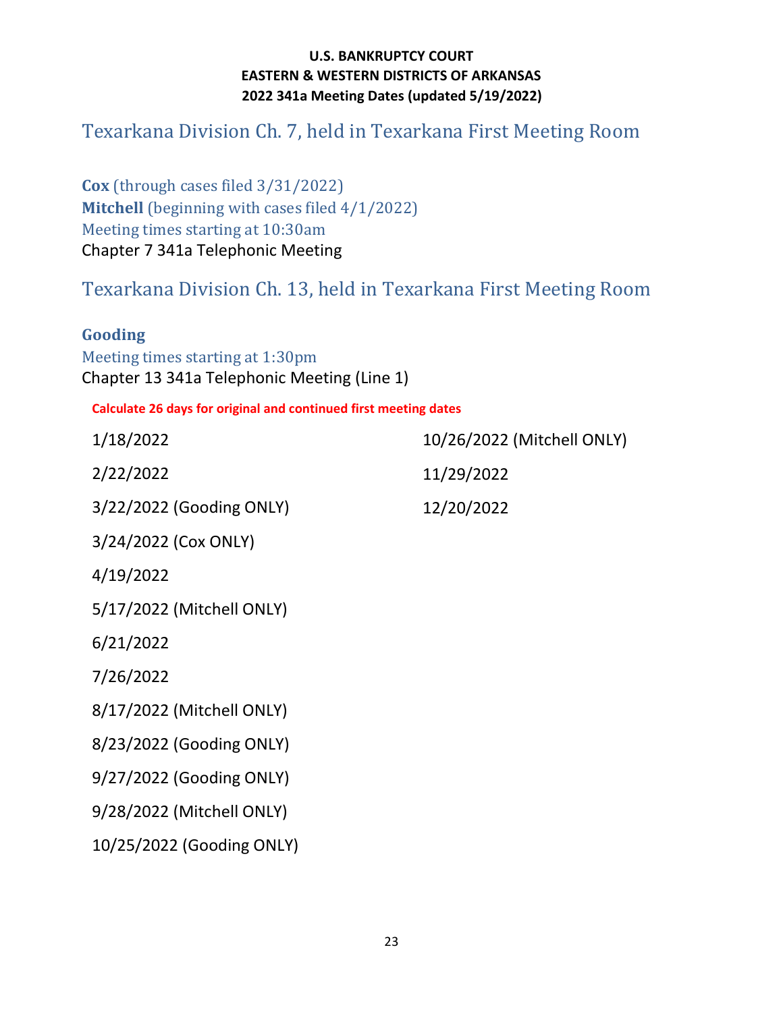# <span id="page-22-0"></span>Texarkana Division Ch. 7, held in Texarkana First Meeting Room

**Cox** (through cases filed 3/31/2022) **Mitchell** (beginning with cases filed 4/1/2022) Meeting times starting at 10:30am Chapter 7 341a Telephonic Meeting

<span id="page-22-1"></span>Texarkana Division Ch. 13, held in Texarkana First Meeting Room

### **Gooding**

Meeting times starting at 1:30pm Chapter 13 341a Telephonic Meeting (Line 1)

| 1/18/2022                 | 10/26/2022 (Mitchell ONLY) |
|---------------------------|----------------------------|
| 2/22/2022                 | 11/29/2022                 |
| 3/22/2022 (Gooding ONLY)  | 12/20/2022                 |
| 3/24/2022 (Cox ONLY)      |                            |
| 4/19/2022                 |                            |
| 5/17/2022 (Mitchell ONLY) |                            |
| 6/21/2022                 |                            |
| 7/26/2022                 |                            |
| 8/17/2022 (Mitchell ONLY) |                            |
| 8/23/2022 (Gooding ONLY)  |                            |
| 9/27/2022 (Gooding ONLY)  |                            |
| 9/28/2022 (Mitchell ONLY) |                            |
| 10/25/2022 (Gooding ONLY) |                            |
|                           |                            |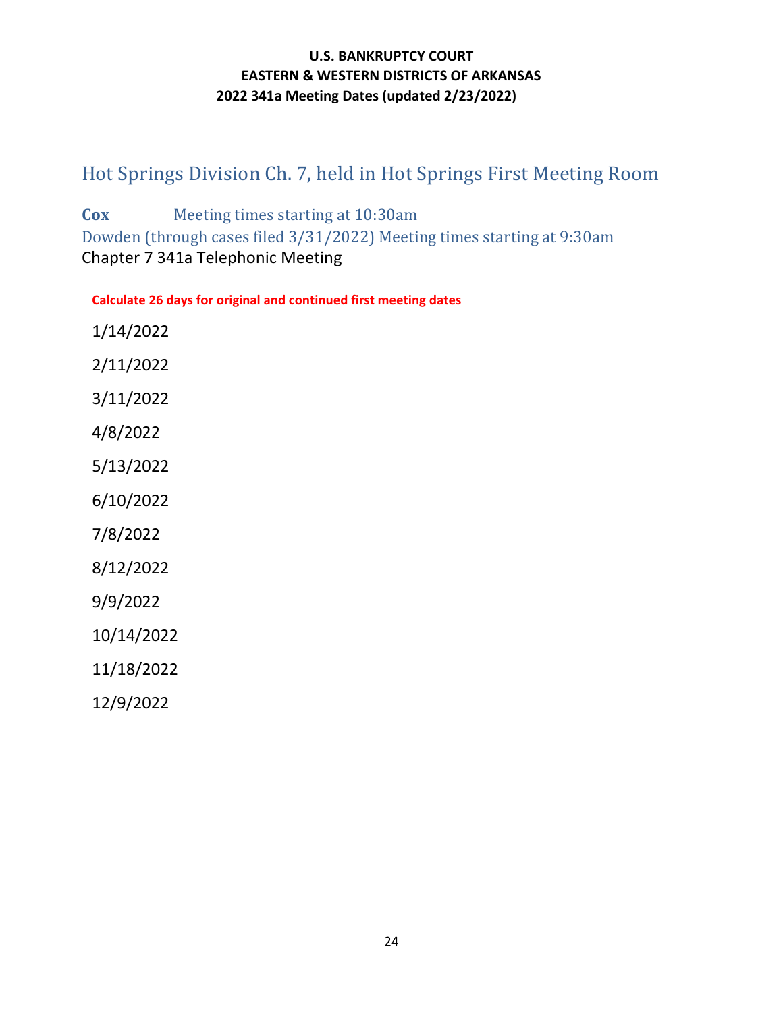# <span id="page-23-0"></span>Hot Springs Division Ch. 7, held in Hot Springs First Meeting Room

**Cox** Meeting times starting at 10:30am Dowden (through cases filed 3/31/2022) Meeting times starting at 9:30am Chapter 7 341a Telephonic Meeting

| 1/14/2022  |
|------------|
| 2/11/2022  |
| 3/11/2022  |
| 4/8/2022   |
| 5/13/2022  |
| 6/10/2022  |
| 7/8/2022   |
| 8/12/2022  |
| 9/9/2022   |
| 10/14/2022 |
| 11/18/2022 |
| 12/9/2022  |